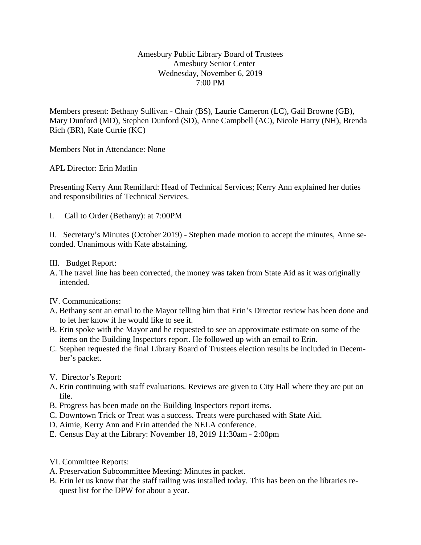## Amesbury Public Library Board of Trustees Amesbury Senior Center Wednesday, November 6, 2019 7:00 PM

Members present: Bethany Sullivan - Chair (BS), Laurie Cameron (LC), Gail Browne (GB), Mary Dunford (MD), Stephen Dunford (SD), Anne Campbell (AC), Nicole Harry (NH), Brenda Rich (BR), Kate Currie (KC)

Members Not in Attendance: None

APL Director: Erin Matlin

Presenting Kerry Ann Remillard: Head of Technical Services; Kerry Ann explained her duties and responsibilities of Technical Services.

I. Call to Order (Bethany): at 7:00PM

II. Secretary's Minutes (October 2019) - Stephen made motion to accept the minutes, Anne seconded. Unanimous with Kate abstaining.

- III. Budget Report:
- A. The travel line has been corrected, the money was taken from State Aid as it was originally intended.
- IV. Communications:
- A. Bethany sent an email to the Mayor telling him that Erin's Director review has been done and to let her know if he would like to see it.
- B. Erin spoke with the Mayor and he requested to see an approximate estimate on some of the items on the Building Inspectors report. He followed up with an email to Erin.
- C. Stephen requested the final Library Board of Trustees election results be included in December's packet.
- V. Director's Report:
- A. Erin continuing with staff evaluations. Reviews are given to City Hall where they are put on file.
- B. Progress has been made on the Building Inspectors report items.
- C. Downtown Trick or Treat was a success. Treats were purchased with State Aid.
- D. Aimie, Kerry Ann and Erin attended the NELA conference.
- E. Census Day at the Library: November 18, 2019 11:30am 2:00pm
- VI. Committee Reports:
- A. Preservation Subcommittee Meeting: Minutes in packet.
- B. Erin let us know that the staff railing was installed today. This has been on the libraries request list for the DPW for about a year.